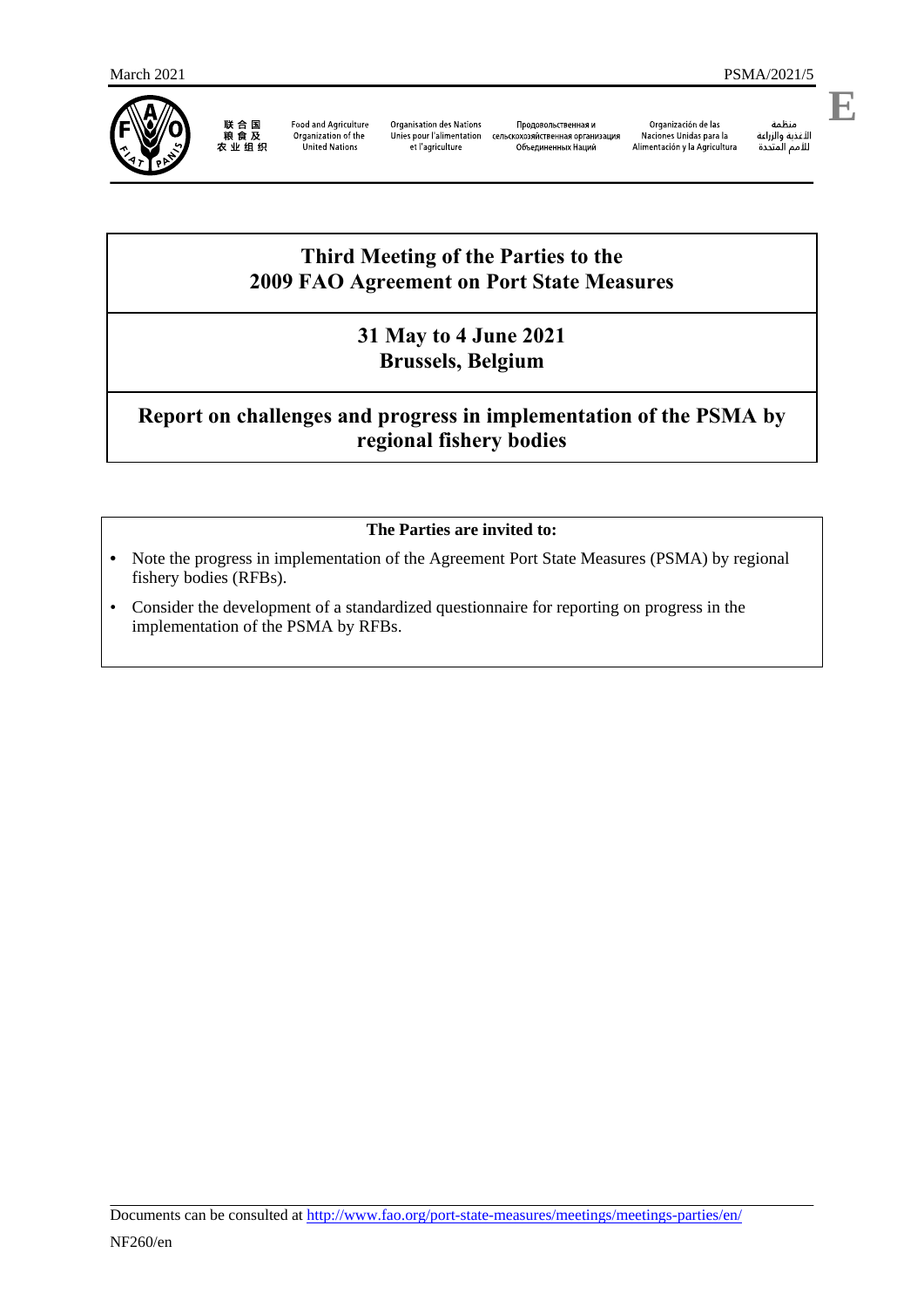

联合国<br>粮食及 农业组织

Food and Agriculture<br>Organization of the United Nations

Organisation des Nations Продовольственная и<br>Unies pour l'alimentation сельскохозяйственная организация et l'agriculture

Объединенных Наций

Organización de las Naciones Unidas para la Alimentación y la Agricultura

منظمة

الأغذية والزراعة للأمم المتحدة

# **Third Meeting of the Parties to the 2009 FAO Agreement on Port State Measures**

### **31 May to 4 June 2021 Brussels, Belgium**

# **Report on challenges and progress in implementation of the PSMA by regional fishery bodies**

### **The Parties are invited to:**

- **•** Note the progress in implementation of the Agreement Port State Measures (PSMA) by regional fishery bodies (RFBs).
- Consider the development of a standardized questionnaire for reporting on progress in the implementation of the PSMA by RFBs.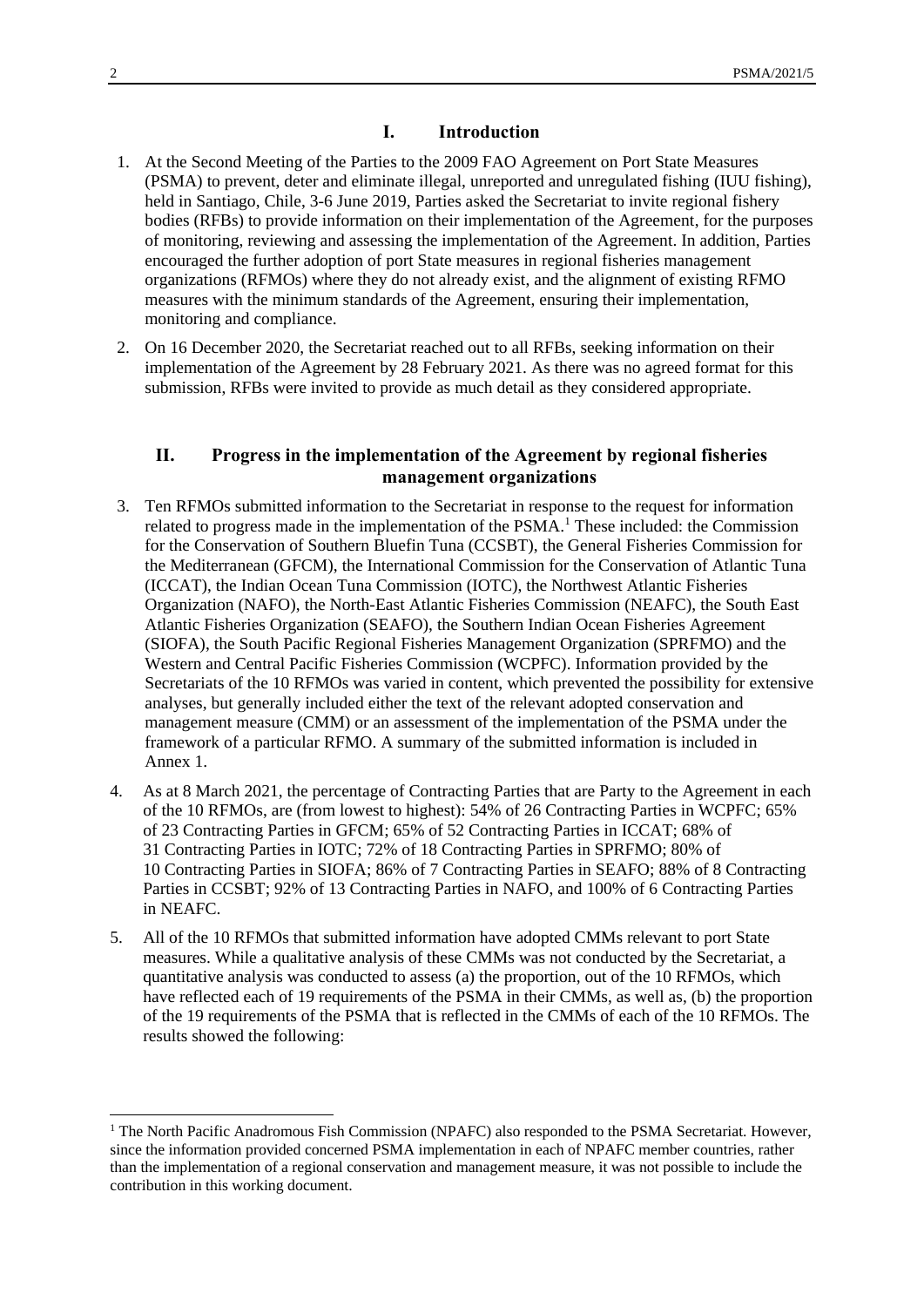#### **I. Introduction**

- 1. At the Second Meeting of the Parties to the 2009 FAO Agreement on Port State Measures (PSMA) to prevent, deter and eliminate illegal, unreported and unregulated fishing (IUU fishing), held in Santiago, Chile, 3-6 June 2019, Parties asked the Secretariat to invite regional fishery bodies (RFBs) to provide information on their implementation of the Agreement, for the purposes of monitoring, reviewing and assessing the implementation of the Agreement. In addition, Parties encouraged the further adoption of port State measures in regional fisheries management organizations (RFMOs) where they do not already exist, and the alignment of existing RFMO measures with the minimum standards of the Agreement, ensuring their implementation, monitoring and compliance.
- 2. On 16 December 2020, the Secretariat reached out to all RFBs, seeking information on their implementation of the Agreement by 28 February 2021. As there was no agreed format for this submission, RFBs were invited to provide as much detail as they considered appropriate.

#### **II. Progress in the implementation of the Agreement by regional fisheries management organizations**

- 3. Ten RFMOs submitted information to the Secretariat in response to the request for information related to progress made in the implementation of the  $PSMA<sup>1</sup>$  These included: the Commission for the Conservation of Southern Bluefin Tuna (CCSBT), the General Fisheries Commission for the Mediterranean (GFCM), the International Commission for the Conservation of Atlantic Tuna (ICCAT), the Indian Ocean Tuna Commission (IOTC), the Northwest Atlantic Fisheries Organization (NAFO), the North-East Atlantic Fisheries Commission (NEAFC), the South East Atlantic Fisheries Organization (SEAFO), the Southern Indian Ocean Fisheries Agreement (SIOFA), the South Pacific Regional Fisheries Management Organization (SPRFMO) and the Western and Central Pacific Fisheries Commission (WCPFC). Information provided by the Secretariats of the 10 RFMOs was varied in content, which prevented the possibility for extensive analyses, but generally included either the text of the relevant adopted conservation and management measure (CMM) or an assessment of the implementation of the PSMA under the framework of a particular RFMO. A summary of the submitted information is included in Annex 1.
- 4. As at 8 March 2021, the percentage of Contracting Parties that are Party to the Agreement in each of the 10 RFMOs, are (from lowest to highest): 54% of 26 Contracting Parties in WCPFC; 65% of 23 Contracting Parties in GFCM; 65% of 52 Contracting Parties in ICCAT; 68% of 31 Contracting Parties in IOTC; 72% of 18 Contracting Parties in SPRFMO; 80% of 10 Contracting Parties in SIOFA; 86% of 7 Contracting Parties in SEAFO; 88% of 8 Contracting Parties in CCSBT; 92% of 13 Contracting Parties in NAFO, and 100% of 6 Contracting Parties in NEAFC.
- 5. All of the 10 RFMOs that submitted information have adopted CMMs relevant to port State measures. While a qualitative analysis of these CMMs was not conducted by the Secretariat, a quantitative analysis was conducted to assess (a) the proportion, out of the 10 RFMOs, which have reflected each of 19 requirements of the PSMA in their CMMs, as well as, (b) the proportion of the 19 requirements of the PSMA that is reflected in the CMMs of each of the 10 RFMOs. The results showed the following:

-

<sup>&</sup>lt;sup>1</sup> The North Pacific Anadromous Fish Commission (NPAFC) also responded to the PSMA Secretariat. However, since the information provided concerned PSMA implementation in each of NPAFC member countries, rather than the implementation of a regional conservation and management measure, it was not possible to include the contribution in this working document.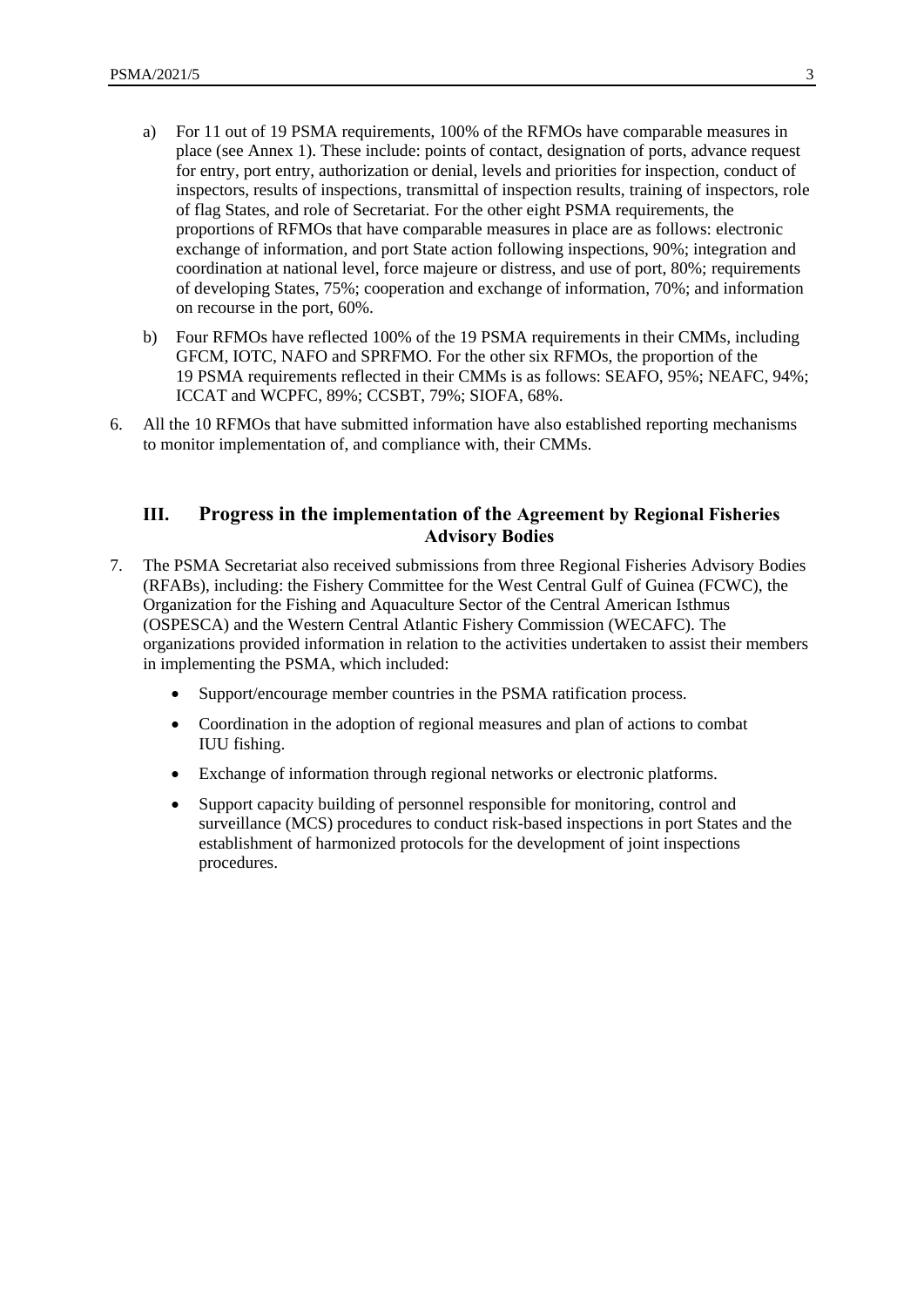- a) For 11 out of 19 PSMA requirements, 100% of the RFMOs have comparable measures in place (see Annex 1). These include: points of contact, designation of ports, advance request for entry, port entry, authorization or denial, levels and priorities for inspection, conduct of inspectors, results of inspections, transmittal of inspection results, training of inspectors, role of flag States, and role of Secretariat. For the other eight PSMA requirements, the proportions of RFMOs that have comparable measures in place are as follows: electronic exchange of information, and port State action following inspections, 90%; integration and coordination at national level, force majeure or distress, and use of port, 80%; requirements of developing States, 75%; cooperation and exchange of information, 70%; and information on recourse in the port, 60%.
- b) Four RFMOs have reflected 100% of the 19 PSMA requirements in their CMMs, including GFCM, IOTC, NAFO and SPRFMO. For the other six RFMOs, the proportion of the 19 PSMA requirements reflected in their CMMs is as follows: SEAFO, 95%; NEAFC, 94%; ICCAT and WCPFC, 89%; CCSBT, 79%; SIOFA, 68%.
- 6. All the 10 RFMOs that have submitted information have also established reporting mechanisms to monitor implementation of, and compliance with, their CMMs.

#### **III. Progress in the implementation of the Agreement by Regional Fisheries Advisory Bodies**

- 7. The PSMA Secretariat also received submissions from three Regional Fisheries Advisory Bodies (RFABs), including: the Fishery Committee for the West Central Gulf of Guinea (FCWC), the Organization for the Fishing and Aquaculture Sector of the Central American Isthmus (OSPESCA) and the Western Central Atlantic Fishery Commission (WECAFC). The organizations provided information in relation to the activities undertaken to assist their members in implementing the PSMA, which included:
	- Support/encourage member countries in the PSMA ratification process.
	- Coordination in the adoption of regional measures and plan of actions to combat IUU fishing.
	- Exchange of information through regional networks or electronic platforms.
	- Support capacity building of personnel responsible for monitoring, control and surveillance (MCS) procedures to conduct risk-based inspections in port States and the establishment of harmonized protocols for the development of joint inspections procedures.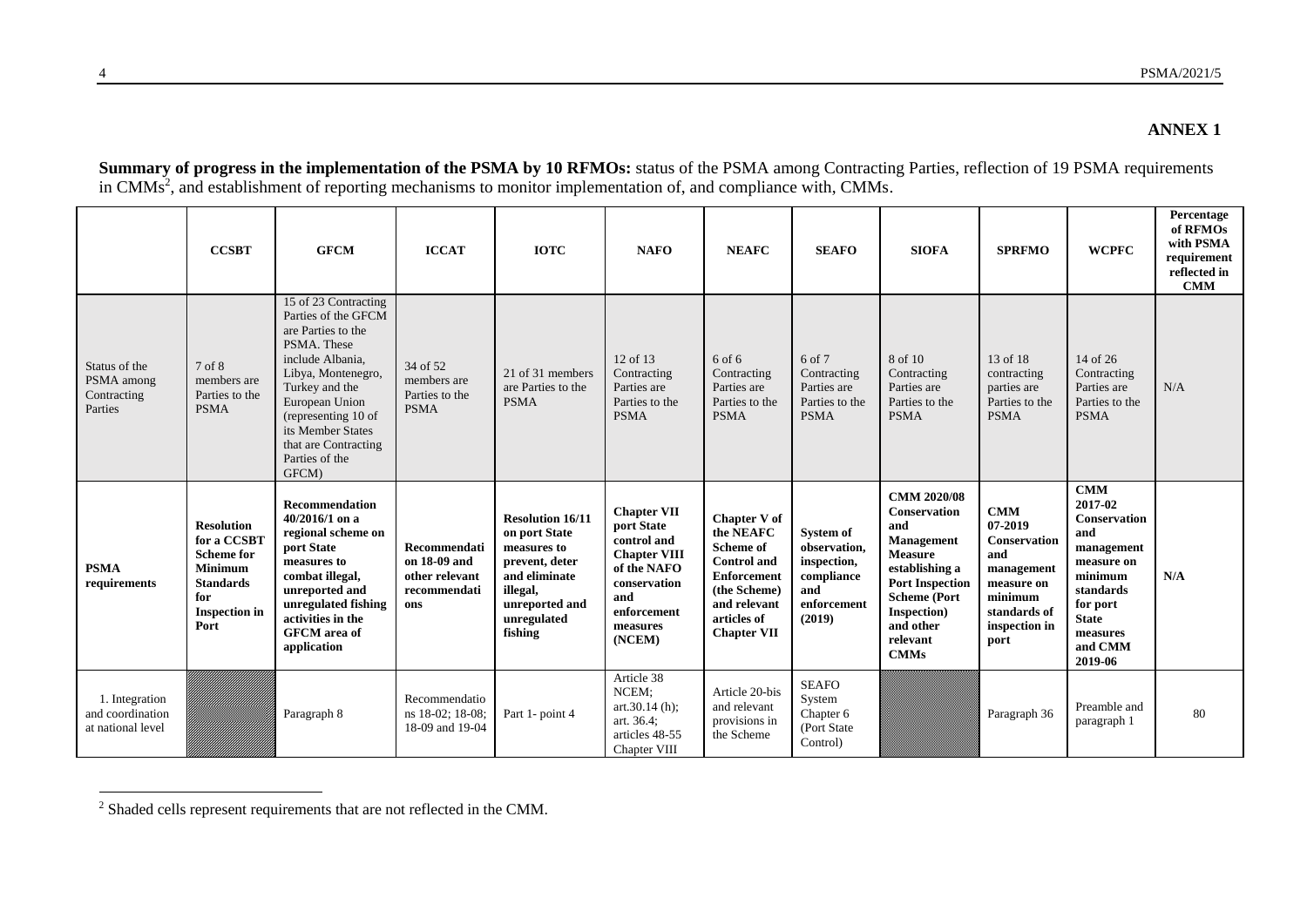#### **ANNEX 1**

**Summary of progress in the implementation of the PSMA by 10 RFMOs:** status of the PSMA among Contracting Parties, reflection of 19 PSMA requirements in CMMs<sup>2</sup>, and establishment of reporting mechanisms to monitor implementation of, and compliance with, CMMs.

|                                                       | <b>CCSBT</b>                                                                                   | <b>GFCM</b>                                                                                                                                                                                                                                                   | <b>ICCAT</b>                                                          | <b>IOTC</b>                                                                                            | <b>NAFO</b>                                                                                                  | <b>NEAFC</b>                                                                                                                      | <b>SEAFO</b>                                                              | <b>SIOFA</b>                                                                                                                                     | <b>SPRFMO</b>                                                                       | <b>WCPFC</b>                                                                                                   | Percentage<br>of RFMOs<br>with PSMA<br>requirement<br>reflected in<br><b>CMM</b> |
|-------------------------------------------------------|------------------------------------------------------------------------------------------------|---------------------------------------------------------------------------------------------------------------------------------------------------------------------------------------------------------------------------------------------------------------|-----------------------------------------------------------------------|--------------------------------------------------------------------------------------------------------|--------------------------------------------------------------------------------------------------------------|-----------------------------------------------------------------------------------------------------------------------------------|---------------------------------------------------------------------------|--------------------------------------------------------------------------------------------------------------------------------------------------|-------------------------------------------------------------------------------------|----------------------------------------------------------------------------------------------------------------|----------------------------------------------------------------------------------|
| Status of the<br>PSMA among<br>Contracting<br>Parties | 7 of 8<br>members are<br>Parties to the<br><b>PSMA</b>                                         | 15 of 23 Contracting<br>Parties of the GFCM<br>are Parties to the<br>PSMA. These<br>include Albania,<br>Libya, Montenegro,<br>Turkey and the<br>European Union<br>(representing 10 of<br>its Member States<br>that are Contracting<br>Parties of the<br>GFCM) | 34 of 52<br>members are<br>Parties to the<br><b>PSMA</b>              | 21 of 31 members<br>are Parties to the<br><b>PSMA</b>                                                  | 12 of 13<br>Contracting<br>Parties are<br>Parties to the<br><b>PSMA</b>                                      | 6 of 6<br>Contracting<br>Parties are<br>Parties to the<br><b>PSMA</b>                                                             | 6 of 7<br>Contracting<br>Parties are<br>Parties to the<br><b>PSMA</b>     | 8 of 10<br>Contracting<br>Parties are<br>Parties to the<br><b>PSMA</b>                                                                           | 13 of 18<br>contracting<br>parties are<br>Parties to the<br><b>PSMA</b>             | 14 of 26<br>Contracting<br>Parties are<br>Parties to the<br><b>PSMA</b>                                        | N/A                                                                              |
|                                                       | <b>Resolution</b><br>for a CCSBT                                                               | <b>Recommendation</b><br>40/2016/1 on a<br>regional scheme on                                                                                                                                                                                                 |                                                                       | <b>Resolution 16/11</b><br>on port State                                                               | <b>Chapter VII</b><br>port State<br>control and                                                              | <b>Chapter V of</b><br>the NEAFC                                                                                                  | System of                                                                 | <b>CMM 2020/08</b><br><b>Conservation</b><br>and<br><b>Management</b>                                                                            | <b>CMM</b><br>07-2019<br>Conservation                                               | <b>CMM</b><br>2017-02<br><b>Conservation</b><br>and                                                            |                                                                                  |
| <b>PSMA</b><br>requirements                           | <b>Scheme for</b><br><b>Minimum</b><br><b>Standards</b><br>for<br><b>Inspection</b> in<br>Port | port State<br>measures to<br>combat illegal,<br>unreported and<br>unregulated fishing<br>activities in the<br><b>GFCM</b> area of<br>application                                                                                                              | Recommendati<br>on 18-09 and<br>other relevant<br>recommendati<br>ons | measures to<br>prevent, deter<br>and eliminate<br>illegal,<br>unreported and<br>unregulated<br>fishing | <b>Chapter VIII</b><br>of the NAFO<br>conservation<br>and<br>enforcement<br>measures<br>(NCEM)<br>Article 38 | <b>Scheme of</b><br><b>Control</b> and<br><b>Enforcement</b><br>(the Scheme)<br>and relevant<br>articles of<br><b>Chapter VII</b> | observation,<br>inspection,<br>compliance<br>and<br>enforcement<br>(2019) | <b>Measure</b><br>establishing a<br><b>Port Inspection</b><br><b>Scheme</b> (Port<br><b>Inspection</b> )<br>and other<br>relevant<br><b>CMMs</b> | and<br>management<br>measure on<br>minimum<br>standards of<br>inspection in<br>port | management<br>measure on<br>minimum<br>standards<br>for port<br><b>State</b><br>measures<br>and CMM<br>2019-06 | N/A                                                                              |

 $2$  Shaded cells represent requirements that are not reflected in the CMM.

l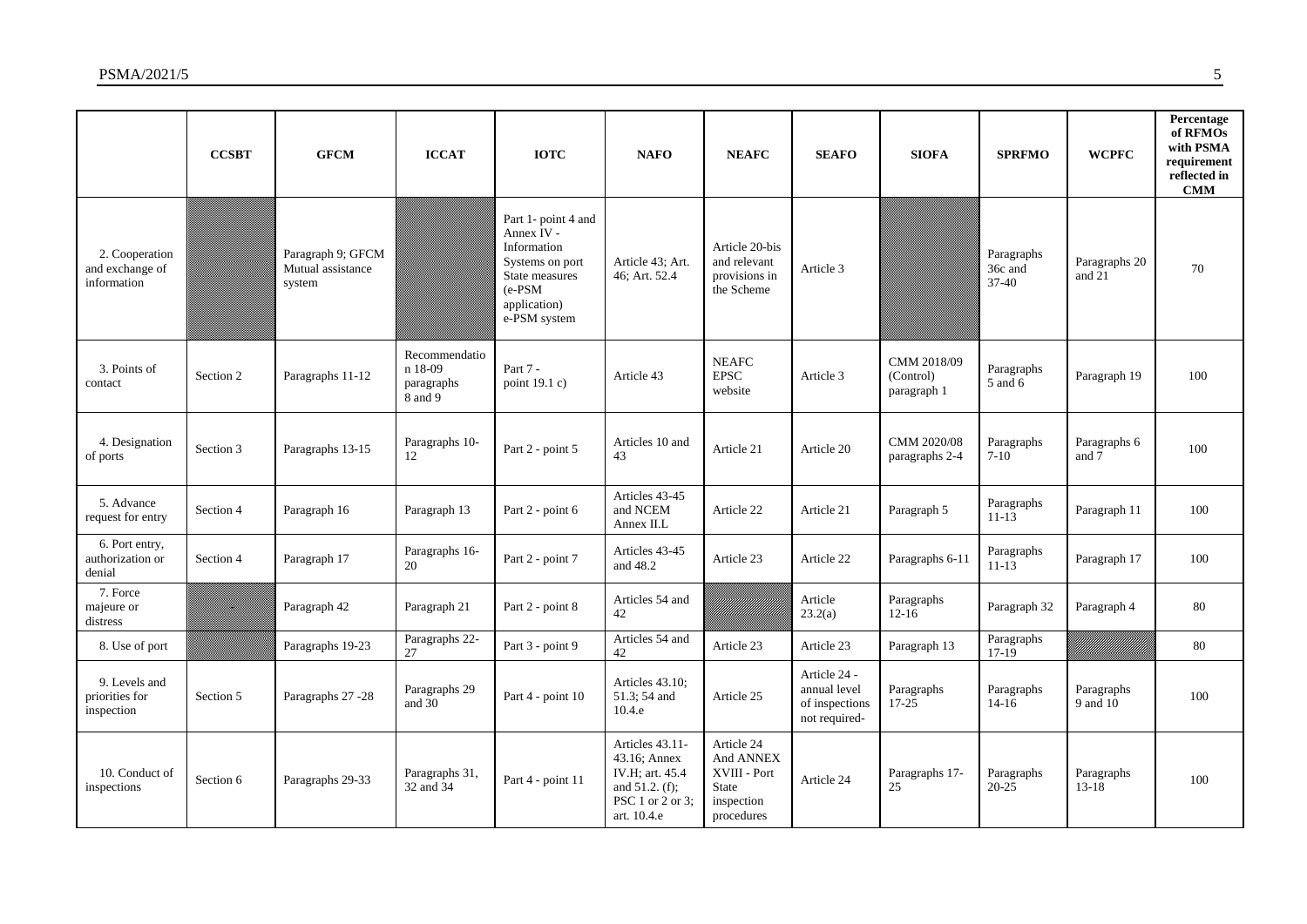|                                                  | <b>CCSBT</b> | <b>GFCM</b>                                      | <b>ICCAT</b>                                      | <b>IOTC</b>                                                                                                                        | <b>NAFO</b>                                                                                                | <b>NEAFC</b>                                                                        | <b>SEAFO</b>                                                    | <b>SIOFA</b>                            | <b>SPRFMO</b>                    | <b>WCPFC</b>            | Percentage<br>of RFMOs<br>with PSMA<br>requirement<br>reflected in<br>CMM |
|--------------------------------------------------|--------------|--------------------------------------------------|---------------------------------------------------|------------------------------------------------------------------------------------------------------------------------------------|------------------------------------------------------------------------------------------------------------|-------------------------------------------------------------------------------------|-----------------------------------------------------------------|-----------------------------------------|----------------------------------|-------------------------|---------------------------------------------------------------------------|
| 2. Cooperation<br>and exchange of<br>information |              | Paragraph 9; GFCM<br>Mutual assistance<br>system |                                                   | Part 1- point 4 and<br>Annex IV -<br>Information<br>Systems on port<br>State measures<br>$(e-PSM)$<br>application)<br>e-PSM system | Article 43: Art.<br>46: Art. 52.4                                                                          | Article 20-bis<br>and relevant<br>provisions in<br>the Scheme                       | Article 3                                                       |                                         | Paragraphs<br>36c and<br>$37-40$ | Paragraphs 20<br>and 21 | 70                                                                        |
| 3. Points of<br>contact                          | Section 2    | Paragraphs 11-12                                 | Recommendatio<br>n 18-09<br>paragraphs<br>8 and 9 | Part 7 -<br>point $19.1 c$ )                                                                                                       | Article 43                                                                                                 | <b>NEAFC</b><br><b>EPSC</b><br>website                                              | Article 3                                                       | CMM 2018/09<br>(Control)<br>paragraph 1 | Paragraphs<br>5 and 6            | Paragraph 19            | 100                                                                       |
| 4. Designation<br>of ports                       | Section 3    | Paragraphs 13-15                                 | Paragraphs 10-<br>12                              | Part 2 - point 5                                                                                                                   | Articles 10 and<br>43                                                                                      | Article 21                                                                          | Article 20                                                      | CMM 2020/08<br>paragraphs 2-4           | Paragraphs<br>$7-10$             | Paragraphs 6<br>and 7   | 100                                                                       |
| 5. Advance<br>request for entry                  | Section 4    | Paragraph 16                                     | Paragraph 13                                      | Part 2 - point 6                                                                                                                   | Articles 43-45<br>and NCEM<br>Annex II.L                                                                   | Article 22                                                                          | Article 21                                                      | Paragraph 5                             | Paragraphs<br>$11 - 13$          | Paragraph 11            | 100                                                                       |
| 6. Port entry,<br>authorization or<br>denial     | Section 4    | Paragraph 17                                     | Paragraphs 16-<br>20                              | Part 2 - point 7                                                                                                                   | Articles 43-45<br>and 48.2                                                                                 | Article 23                                                                          | Article 22                                                      | Paragraphs 6-11                         | Paragraphs<br>$11 - 13$          | Paragraph 17            | 100                                                                       |
| 7. Force<br>majeure or<br>distress               | z            | Paragraph 42                                     | Paragraph 21                                      | Part 2 - point 8                                                                                                                   | Articles 54 and<br>42                                                                                      |                                                                                     | Article<br>23.2(a)                                              | Paragraphs<br>$12 - 16$                 | Paragraph 32                     | Paragraph 4             | 80                                                                        |
| 8. Use of port                                   |              | Paragraphs 19-23                                 | Paragraphs 22-<br>27                              | Part 3 - point 9                                                                                                                   | Articles 54 and<br>42                                                                                      | Article 23                                                                          | Article 23                                                      | Paragraph 13                            | Paragraphs<br>$17-19$            |                         | 80                                                                        |
| 9. Levels and<br>priorities for<br>inspection    | Section 5    | Paragraphs 27 -28                                | Paragraphs 29<br>and 30                           | Part 4 - point 10                                                                                                                  | Articles 43.10;<br>51.3; 54 and<br>10.4.e                                                                  | Article 25                                                                          | Article 24 -<br>annual level<br>of inspections<br>not required- | Paragraphs<br>$17 - 25$                 | Paragraphs<br>$14 - 16$          | Paragraphs<br>9 and 10  | 100                                                                       |
| 10. Conduct of<br>inspections                    | Section 6    | Paragraphs 29-33                                 | Paragraphs 31,<br>32 and 34                       | Part 4 - point 11                                                                                                                  | Articles 43.11-<br>43.16; Annex<br>IV.H: art. 45.4<br>and $51.2. (f)$ ;<br>PSC 1 or 2 or 3;<br>art. 10.4.e | Article 24<br>And ANNEX<br>XVIII - Port<br><b>State</b><br>inspection<br>procedures | Article 24                                                      | Paragraphs 17-<br>25                    | Paragraphs<br>$20 - 25$          | Paragraphs<br>$13 - 18$ | 100                                                                       |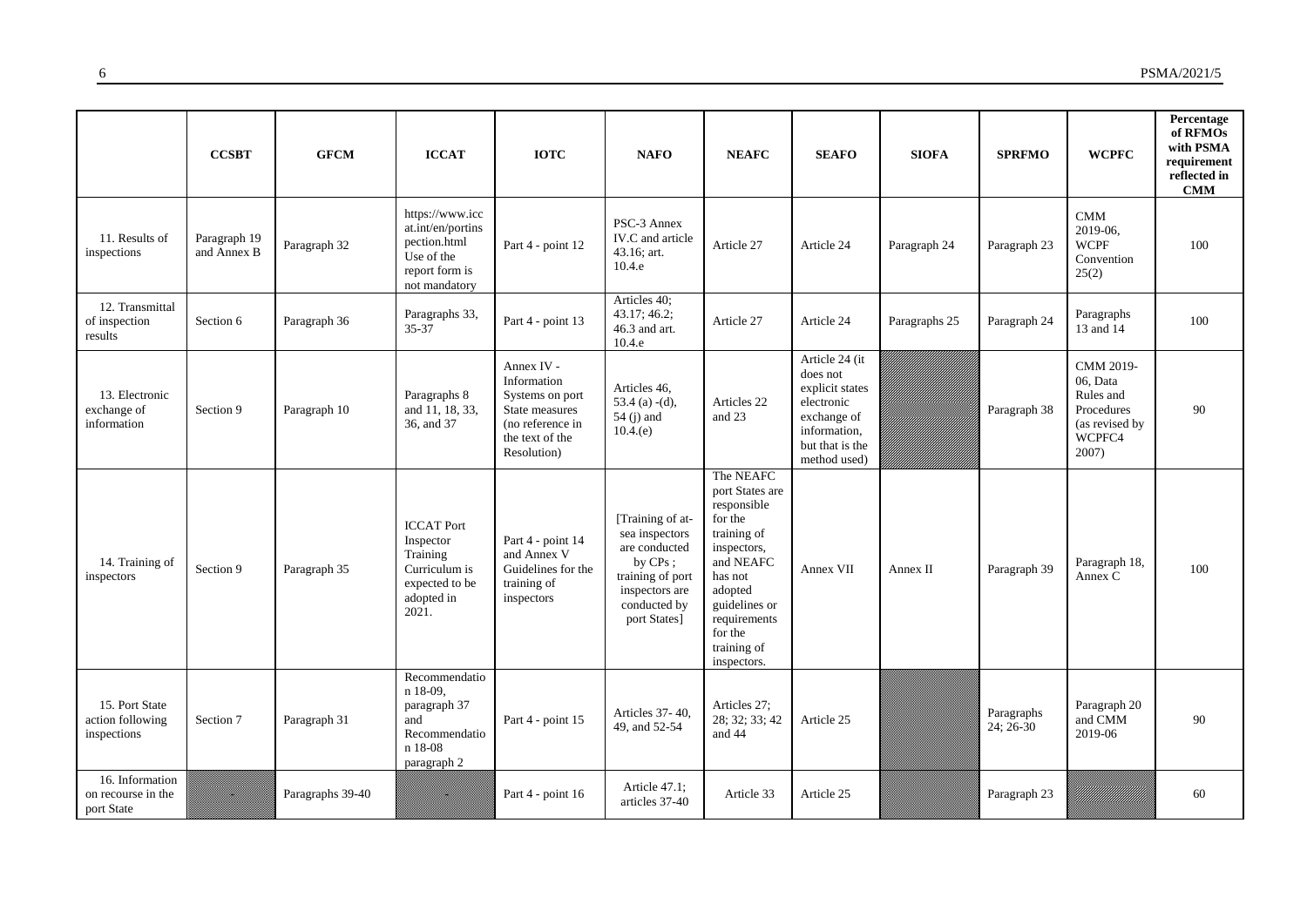|                                                     | <b>CCSBT</b>                | <b>GFCM</b>      | <b>ICCAT</b>                                                                                          | <b>IOTC</b>                                                                                                          | <b>NAFO</b>                                                                                                                             | <b>NEAFC</b>                                                                                                                                                                                      | <b>SEAFO</b>                                                                                                                  | <b>SIOFA</b>  | <b>SPRFMO</b>           | <b>WCPFC</b>                                                                             | Percentage<br>of RFMOs<br>with PSMA<br>requirement<br>reflected in<br><b>CMM</b> |
|-----------------------------------------------------|-----------------------------|------------------|-------------------------------------------------------------------------------------------------------|----------------------------------------------------------------------------------------------------------------------|-----------------------------------------------------------------------------------------------------------------------------------------|---------------------------------------------------------------------------------------------------------------------------------------------------------------------------------------------------|-------------------------------------------------------------------------------------------------------------------------------|---------------|-------------------------|------------------------------------------------------------------------------------------|----------------------------------------------------------------------------------|
| 11. Results of<br>inspections                       | Paragraph 19<br>and Annex B | Paragraph 32     | https://www.icc<br>at.int/en/portins<br>pection.html<br>Use of the<br>report form is<br>not mandatory | Part 4 - point 12                                                                                                    | PSC-3 Annex<br>IV.C and article<br>43.16; art.<br>10.4.e                                                                                | Article 27                                                                                                                                                                                        | Article 24                                                                                                                    | Paragraph 24  | Paragraph 23            | CMM<br>2019-06,<br><b>WCPF</b><br>Convention<br>25(2)                                    | 100                                                                              |
| 12. Transmittal<br>of inspection<br>results         | Section 6                   | Paragraph 36     | Paragraphs 33,<br>35-37                                                                               | Part 4 - point 13                                                                                                    | Articles 40;<br>43.17; 46.2;<br>46.3 and art.<br>10.4.e                                                                                 | Article 27                                                                                                                                                                                        | Article 24                                                                                                                    | Paragraphs 25 | Paragraph 24            | Paragraphs<br>13 and 14                                                                  | 100                                                                              |
| 13. Electronic<br>exchange of<br>information        | Section 9                   | Paragraph 10     | Paragraphs 8<br>and 11, 18, 33,<br>36, and 37                                                         | Annex IV -<br>Information<br>Systems on port<br>State measures<br>(no reference in<br>the text of the<br>Resolution) | Articles 46,<br>53.4 (a) $-(d)$ ,<br>54 (j) and<br>10.4(e)                                                                              | Articles 22<br>and 23                                                                                                                                                                             | Article 24 (it<br>does not<br>explicit states<br>electronic<br>exchange of<br>information,<br>but that is the<br>method used) |               | Paragraph 38            | CMM 2019-<br>06, Data<br>Rules and<br>Procedures<br>(as revised by<br>WCPFC4<br>$2007$ ) | 90                                                                               |
| 14. Training of<br>inspectors                       | Section 9                   | Paragraph 35     | <b>ICCAT Port</b><br>Inspector<br>Training<br>Curriculum is<br>expected to be<br>adopted in<br>2021.  | Part 4 - point 14<br>and Annex V<br>Guidelines for the<br>training of<br>inspectors                                  | [Training of at-<br>sea inspectors<br>are conducted<br>by $CPs$ ;<br>training of port<br>inspectors are<br>conducted by<br>port States] | The NEAFC<br>port States are<br>responsible<br>for the<br>training of<br>inspectors,<br>and NEAFC<br>has not<br>adopted<br>guidelines or<br>requirements<br>for the<br>training of<br>inspectors. | Annex VII                                                                                                                     | Annex II      | Paragraph 39            | Paragraph 18,<br>Annex C                                                                 | 100                                                                              |
| 15. Port State<br>action following<br>inspections   | Section 7                   | Paragraph 31     | Recommendatio<br>n 18-09,<br>paragraph 37<br>and<br>Recommendatio<br>n 18-08<br>paragraph 2           | Part 4 - point 15                                                                                                    | Articles 37-40,<br>49, and 52-54                                                                                                        | Articles 27:<br>28; 32; 33; 42<br>and 44                                                                                                                                                          | Article 25                                                                                                                    |               | Paragraphs<br>24; 26-30 | Paragraph 20<br>and CMM<br>2019-06                                                       | 90                                                                               |
| 16. Information<br>on recourse in the<br>port State |                             | Paragraphs 39-40 |                                                                                                       | Part 4 - point 16                                                                                                    | Article 47.1;<br>articles 37-40                                                                                                         | Article 33                                                                                                                                                                                        | Article 25                                                                                                                    |               | Paragraph 23            |                                                                                          | 60                                                                               |